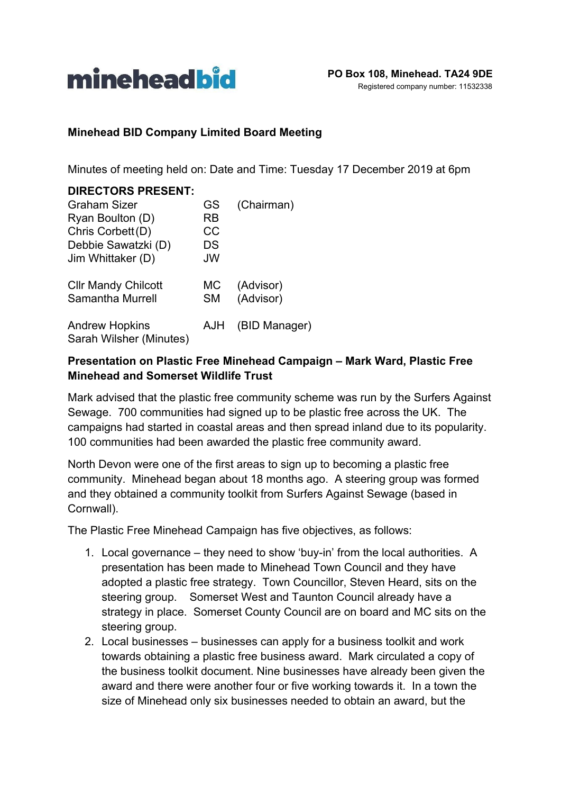

## **Minehead BID Company Limited Board Meeting**

Minutes of meeting held on: Date and Time: Tuesday 17 December 2019 at 6pm

| <b>DIRECTORS PRESENT:</b>  |     |               |
|----------------------------|-----|---------------|
| <b>Graham Sizer</b>        | GS  | (Chairman)    |
| Ryan Boulton (D)           | RB  |               |
| Chris Corbett (D)          | СC  |               |
| Debbie Sawatzki (D)        | DS  |               |
| Jim Whittaker (D)          | JW  |               |
| <b>CIIr Mandy Chilcott</b> | МC  | (Advisor)     |
| <b>Samantha Murrell</b>    | SM  | (Advisor)     |
| <b>Andrew Hopkins</b>      | AJH | (BID Manager) |
| Sarah Wilsher (Minutes)    |     |               |

## **Presentation on Plastic Free Minehead Campaign – Mark Ward, Plastic Free Minehead and Somerset Wildlife Trust**

Mark advised that the plastic free community scheme was run by the Surfers Against Sewage. 700 communities had signed up to be plastic free across the UK. The campaigns had started in coastal areas and then spread inland due to its popularity. 100 communities had been awarded the plastic free community award.

North Devon were one of the first areas to sign up to becoming a plastic free community. Minehead began about 18 months ago. A steering group was formed and they obtained a community toolkit from Surfers Against Sewage (based in Cornwall).

The Plastic Free Minehead Campaign has five objectives, as follows:

- 1. Local governance they need to show 'buy-in' from the local authorities. A presentation has been made to Minehead Town Council and they have adopted a plastic free strategy. Town Councillor, Steven Heard, sits on the steering group. Somerset West and Taunton Council already have a strategy in place. Somerset County Council are on board and MC sits on the steering group.
- 2. Local businesses businesses can apply for a business toolkit and work towards obtaining a plastic free business award. Mark circulated a copy of the business toolkit document. Nine businesses have already been given the award and there were another four or five working towards it. In a town the size of Minehead only six businesses needed to obtain an award, but the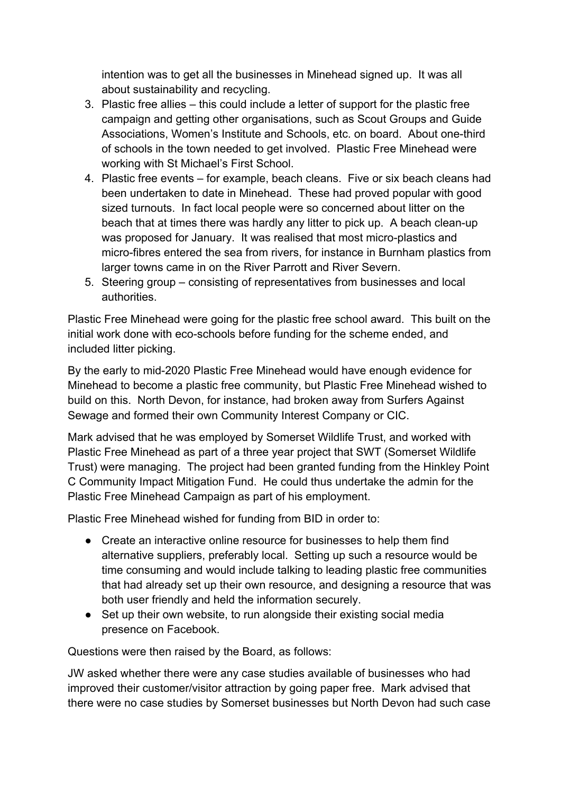intention was to get all the businesses in Minehead signed up. It was all about sustainability and recycling.

- 3. Plastic free allies this could include a letter of support for the plastic free campaign and getting other organisations, such as Scout Groups and Guide Associations, Women's Institute and Schools, etc. on board. About one-third of schools in the town needed to get involved. Plastic Free Minehead were working with St Michael's First School.
- 4. Plastic free events for example, beach cleans. Five or six beach cleans had been undertaken to date in Minehead. These had proved popular with good sized turnouts. In fact local people were so concerned about litter on the beach that at times there was hardly any litter to pick up. A beach clean-up was proposed for January. It was realised that most micro-plastics and micro-fibres entered the sea from rivers, for instance in Burnham plastics from larger towns came in on the River Parrott and River Severn.
- 5. Steering group consisting of representatives from businesses and local authorities.

Plastic Free Minehead were going for the plastic free school award. This built on the initial work done with eco-schools before funding for the scheme ended, and included litter picking.

By the early to mid-2020 Plastic Free Minehead would have enough evidence for Minehead to become a plastic free community, but Plastic Free Minehead wished to build on this. North Devon, for instance, had broken away from Surfers Against Sewage and formed their own Community Interest Company or CIC.

Mark advised that he was employed by Somerset Wildlife Trust, and worked with Plastic Free Minehead as part of a three year project that SWT (Somerset Wildlife Trust) were managing. The project had been granted funding from the Hinkley Point C Community Impact Mitigation Fund. He could thus undertake the admin for the Plastic Free Minehead Campaign as part of his employment.

Plastic Free Minehead wished for funding from BID in order to:

- Create an interactive online resource for businesses to help them find alternative suppliers, preferably local. Setting up such a resource would be time consuming and would include talking to leading plastic free communities that had already set up their own resource, and designing a resource that was both user friendly and held the information securely.
- Set up their own website, to run alongside their existing social media presence on Facebook.

Questions were then raised by the Board, as follows:

JW asked whether there were any case studies available of businesses who had improved their customer/visitor attraction by going paper free. Mark advised that there were no case studies by Somerset businesses but North Devon had such case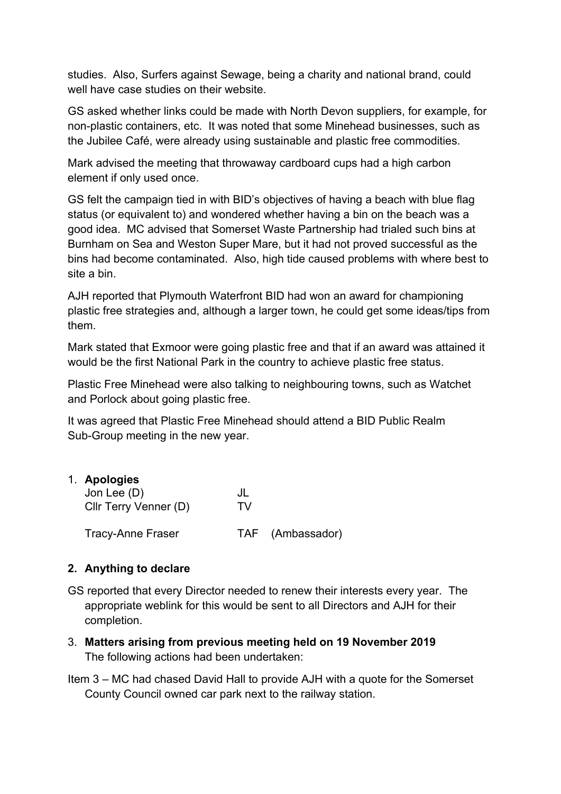studies. Also, Surfers against Sewage, being a charity and national brand, could well have case studies on their website.

GS asked whether links could be made with North Devon suppliers, for example, for non-plastic containers, etc. It was noted that some Minehead businesses, such as the Jubilee Café, were already using sustainable and plastic free commodities.

Mark advised the meeting that throwaway cardboard cups had a high carbon element if only used once.

GS felt the campaign tied in with BID's objectives of having a beach with blue flag status (or equivalent to) and wondered whether having a bin on the beach was a good idea. MC advised that Somerset Waste Partnership had trialed such bins at Burnham on Sea and Weston Super Mare, but it had not proved successful as the bins had become contaminated. Also, high tide caused problems with where best to site a bin.

AJH reported that Plymouth Waterfront BID had won an award for championing plastic free strategies and, although a larger town, he could get some ideas/tips from them.

Mark stated that Exmoor were going plastic free and that if an award was attained it would be the first National Park in the country to achieve plastic free status.

Plastic Free Minehead were also talking to neighbouring towns, such as Watchet and Porlock about going plastic free.

It was agreed that Plastic Free Minehead should attend a BID Public Realm Sub-Group meeting in the new year.

| 1. Apologies             |     |                  |
|--------------------------|-----|------------------|
| Jon Lee $(D)$            | JL  |                  |
| Cllr Terry Venner (D)    | TV. |                  |
| <b>Tracy-Anne Fraser</b> |     | TAF (Ambassador) |

## **2. Anything to declare**

- GS reported that every Director needed to renew their interests every year. The appropriate weblink for this would be sent to all Directors and AJH for their completion.
- 3. **Matters arising from previous meeting held on 19 November 2019** The following actions had been undertaken:

Item 3 – MC had chased David Hall to provide AJH with a quote for the Somerset County Council owned car park next to the railway station.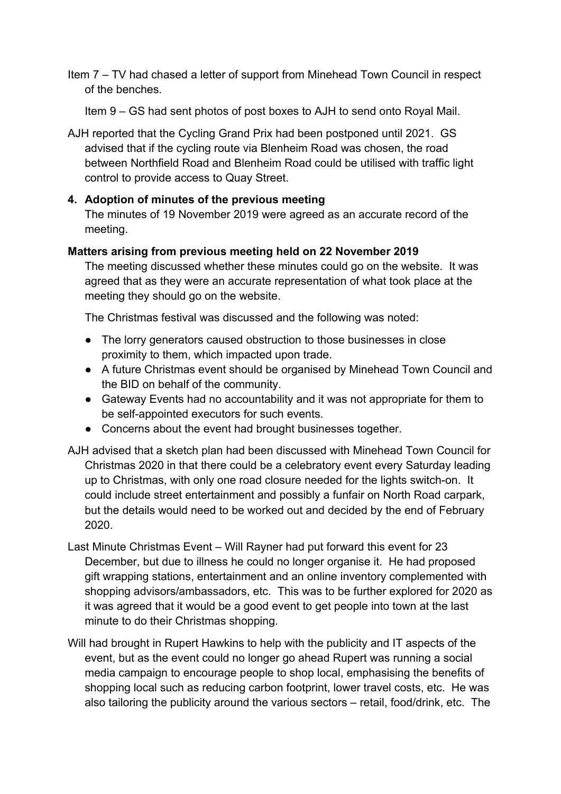Item 7 – TV had chased a letter of support from Minehead Town Council in respect of the benches.

Item 9 – GS had sent photos of post boxes to AJH to send onto Royal Mail.

AJH reported that the Cycling Grand Prix had been postponed until 2021. GS advised that if the cycling route via Blenheim Road was chosen, the road between Northfield Road and Blenheim Road could be utilised with traffic light control to provide access to Quay Street.

## **4. Adoption of minutes of the previous meeting**

The minutes of 19 November 2019 were agreed as an accurate record of the meeting.

#### **Matters arising from previous meeting held on 22 November 2019**

The meeting discussed whether these minutes could go on the website. It was agreed that as they were an accurate representation of what took place at the meeting they should go on the website.

The Christmas festival was discussed and the following was noted:

- The lorry generators caused obstruction to those businesses in close proximity to them, which impacted upon trade.
- A future Christmas event should be organised by Minehead Town Council and the BID on behalf of the community.
- Gateway Events had no accountability and it was not appropriate for them to be self-appointed executors for such events.
- Concerns about the event had brought businesses together.
- AJH advised that a sketch plan had been discussed with Minehead Town Council for Christmas 2020 in that there could be a celebratory event every Saturday leading up to Christmas, with only one road closure needed for the lights switch-on. It could include street entertainment and possibly a funfair on North Road carpark, but the details would need to be worked out and decided by the end of February 2020.
- Last Minute Christmas Event Will Rayner had put forward this event for 23 December, but due to illness he could no longer organise it. He had proposed gift wrapping stations, entertainment and an online inventory complemented with shopping advisors/ambassadors, etc. This was to be further explored for 2020 as it was agreed that it would be a good event to get people into town at the last minute to do their Christmas shopping.
- Will had brought in Rupert Hawkins to help with the publicity and IT aspects of the event, but as the event could no longer go ahead Rupert was running a social media campaign to encourage people to shop local, emphasising the benefits of shopping local such as reducing carbon footprint, lower travel costs, etc. He was also tailoring the publicity around the various sectors – retail, food/drink, etc. The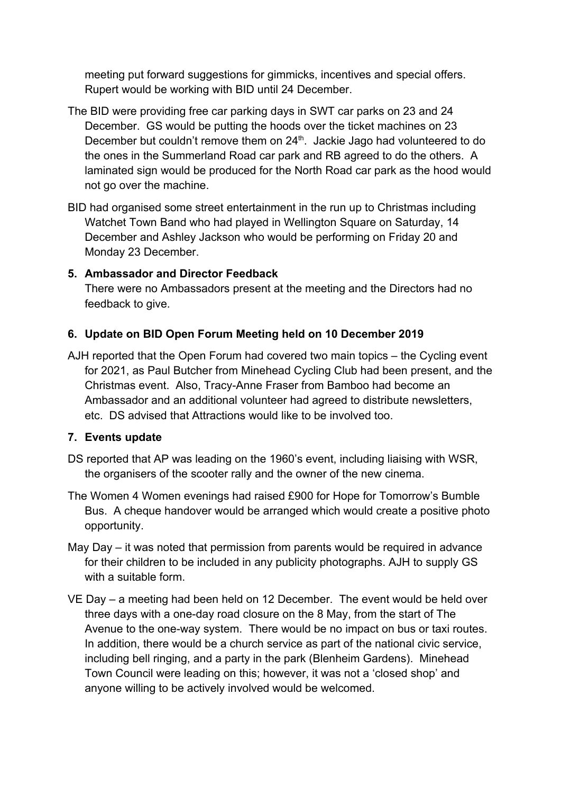meeting put forward suggestions for gimmicks, incentives and special offers. Rupert would be working with BID until 24 December.

- The BID were providing free car parking days in SWT car parks on 23 and 24 December. GS would be putting the hoods over the ticket machines on 23 December but couldn't remove them on  $24<sup>th</sup>$ . Jackie Jago had volunteered to do the ones in the Summerland Road car park and RB agreed to do the others. A laminated sign would be produced for the North Road car park as the hood would not go over the machine.
- BID had organised some street entertainment in the run up to Christmas including Watchet Town Band who had played in Wellington Square on Saturday, 14 December and Ashley Jackson who would be performing on Friday 20 and Monday 23 December.

## **5. Ambassador and Director Feedback**

There were no Ambassadors present at the meeting and the Directors had no feedback to give.

## **6. Update on BID Open Forum Meeting held on 10 December 2019**

AJH reported that the Open Forum had covered two main topics – the Cycling event for 2021, as Paul Butcher from Minehead Cycling Club had been present, and the Christmas event. Also, Tracy-Anne Fraser from Bamboo had become an Ambassador and an additional volunteer had agreed to distribute newsletters, etc. DS advised that Attractions would like to be involved too.

## **7. Events update**

- DS reported that AP was leading on the 1960's event, including liaising with WSR, the organisers of the scooter rally and the owner of the new cinema.
- The Women 4 Women evenings had raised £900 for Hope for Tomorrow's Bumble Bus. A cheque handover would be arranged which would create a positive photo opportunity.
- May Day it was noted that permission from parents would be required in advance for their children to be included in any publicity photographs. AJH to supply GS with a suitable form.
- VE Day a meeting had been held on 12 December. The event would be held over three days with a one-day road closure on the 8 May, from the start of The Avenue to the one-way system. There would be no impact on bus or taxi routes. In addition, there would be a church service as part of the national civic service, including bell ringing, and a party in the park (Blenheim Gardens). Minehead Town Council were leading on this; however, it was not a 'closed shop' and anyone willing to be actively involved would be welcomed.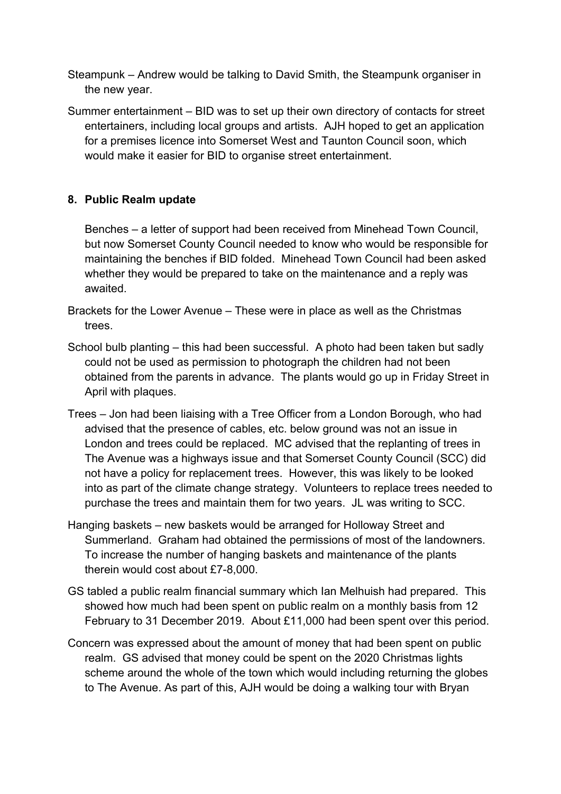- Steampunk Andrew would be talking to David Smith, the Steampunk organiser in the new year.
- Summer entertainment BID was to set up their own directory of contacts for street entertainers, including local groups and artists. AJH hoped to get an application for a premises licence into Somerset West and Taunton Council soon, which would make it easier for BID to organise street entertainment.

## **8. Public Realm update**

Benches – a letter of support had been received from Minehead Town Council, but now Somerset County Council needed to know who would be responsible for maintaining the benches if BID folded. Minehead Town Council had been asked whether they would be prepared to take on the maintenance and a reply was awaited.

- Brackets for the Lower Avenue These were in place as well as the Christmas trees.
- School bulb planting this had been successful. A photo had been taken but sadly could not be used as permission to photograph the children had not been obtained from the parents in advance. The plants would go up in Friday Street in April with plaques.
- Trees Jon had been liaising with a Tree Officer from a London Borough, who had advised that the presence of cables, etc. below ground was not an issue in London and trees could be replaced. MC advised that the replanting of trees in The Avenue was a highways issue and that Somerset County Council (SCC) did not have a policy for replacement trees. However, this was likely to be looked into as part of the climate change strategy. Volunteers to replace trees needed to purchase the trees and maintain them for two years. JL was writing to SCC.
- Hanging baskets new baskets would be arranged for Holloway Street and Summerland. Graham had obtained the permissions of most of the landowners. To increase the number of hanging baskets and maintenance of the plants therein would cost about £7-8,000.
- GS tabled a public realm financial summary which Ian Melhuish had prepared. This showed how much had been spent on public realm on a monthly basis from 12 February to 31 December 2019. About £11,000 had been spent over this period.
- Concern was expressed about the amount of money that had been spent on public realm.GS advised that money could be spent on the 2020 Christmas lights scheme around the whole of the town which would including returning the globes to The Avenue. As part of this, AJH would be doing a walking tour with Bryan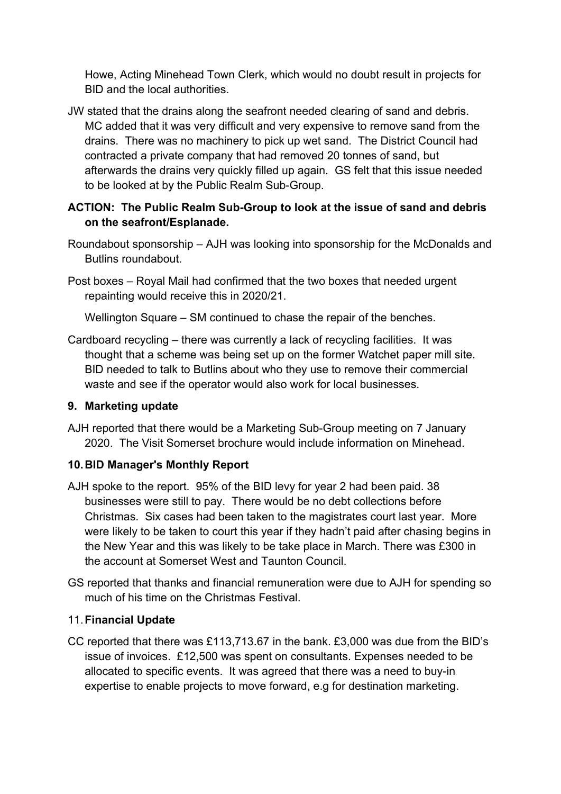Howe, Acting Minehead Town Clerk, which would no doubt result in projects for BID and the local authorities.

JW stated that the drains along the seafront needed clearing of sand and debris. MC added that it was very difficult and very expensive to remove sand from the drains. There was no machinery to pick up wet sand. The District Council had contracted a private company that had removed 20 tonnes of sand, but afterwards the drains very quickly filled up again. GS felt that this issue needed to be looked at by the Public Realm Sub-Group.

## **ACTION: The Public Realm Sub-Group to look at the issue of sand and debris on the seafront/Esplanade.**

- Roundabout sponsorship AJH was looking into sponsorship for the McDonalds and Butlins roundabout.
- Post boxes Royal Mail had confirmed that the two boxes that needed urgent repainting would receive this in 2020/21.

Wellington Square – SM continued to chase the repair of the benches.

Cardboard recycling – there was currently a lack of recycling facilities. It was thought that a scheme was being set up on the former Watchet paper mill site. BID needed to talk to Butlins about who they use to remove their commercial waste and see if the operator would also work for local businesses.

## **9. Marketing update**

AJH reported that there would be a Marketing Sub-Group meeting on 7 January 2020. The Visit Somerset brochure would include information on Minehead.

## **10.BID Manager's Monthly Report**

- AJH spoke to the report. 95% of the BID levy for year 2 had been paid. 38 businesses were still to pay. There would be no debt collections before Christmas. Six cases had been taken to the magistrates court last year. More were likely to be taken to court this year if they hadn't paid after chasing begins in the New Year and this was likely to be take place in March. There was £300 in the account at Somerset West and Taunton Council.
- GS reported that thanks and financial remuneration were due to AJH for spending so much of his time on the Christmas Festival.

## 11.**Financial Update**

CC reported that there was £113,713.67 in the bank. £3,000 was due from the BID's issue of invoices. £12,500 was spent on consultants. Expenses needed to be allocated to specific events. It was agreed that there was a need to buy-in expertise to enable projects to move forward, e.g for destination marketing.